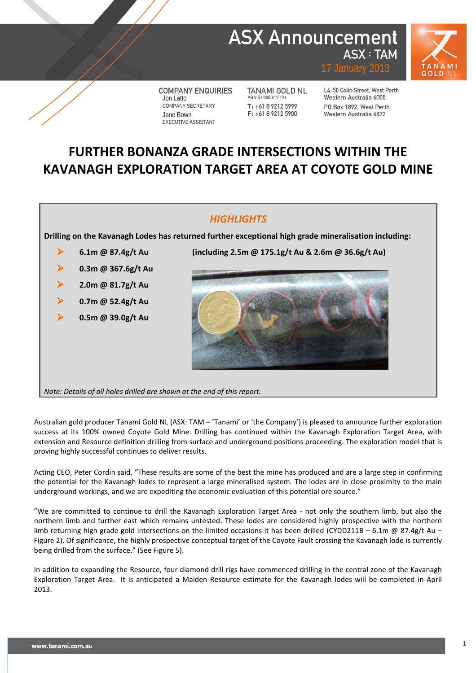# **ASX Announcement ASX: TAM**



**COMPANY ENQUIRIES** Jon Latto COMPANY SECRETARY Jane Bown EXECUTIVE ASSISTANT

TANAMI GOLD NL ABN 51 000 617 176  $T: +61892125999$  $F: +61892125900$ 

L4, 50 Colin Street, West Perth Western Australia 6005 PO Box 1892, West Perth Western Australia 6872

# **FURTHER BONANZA GRADE INTERSECTIONS WITHIN THE KAVANAGH EXPLORATION TARGET AREA AT COYOTE GOLD MINE**

### *HIGHLIGHTS*

**Drilling on the Kavanagh Lodes has returned further exceptional high grade mineralisation including:**

**0.3m @ 367.6g/t Au**

**2.0m @ 81.7g/t Au**

**0.7m @ 52.4g/t Au**

**0.5m @ 39.0g/t Au**

**6.1m @ 87.4g/t Au (including 2.5m @ 175.1g/t Au & 2.6m @ 36.6g/t Au)**



*Note: Details of all holes drilled are shown at the end of this report.*

Australian gold producer Tanami Gold NL (ASX: TAM – 'Tanami' or 'the Company') is pleased to announce further exploration success at its 100% owned Coyote Gold Mine. Drilling has continued within the Kavanagh Exploration Target Area, with extension and Resource definition drilling from surface and underground positions proceeding. The exploration model that is proving highly successful continues to deliver results.

Acting CEO, Peter Cordin said, "These results are some of the best the mine has produced and are a large step in confirming the potential for the Kavanagh lodes to represent a large mineralised system. The lodes are in close proximity to the main underground workings, and we are expediting the economic evaluation of this potential ore source."

"We are committed to continue to drill the Kavanagh Exploration Target Area - not only the southern limb, but also the northern limb and further east which remains untested. These lodes are considered highly prospective with the northern limb returning high grade gold intersections on the limited occasions it has been drilled (CYDD211B – 6.1m @ 87.4g/t Au – Figure 2). Of significance, the highly prospective conceptual target of the Coyote Fault crossing the Kavanagh lode is currently being drilled from the surface." (See Figure 5).

In addition to expanding the Resource, four diamond drill rigs have commenced drilling in the central zone of the Kavanagh Exploration Target Area. It is anticipated a Maiden Resource estimate for the Kavanagh lodes will be completed in April 2013.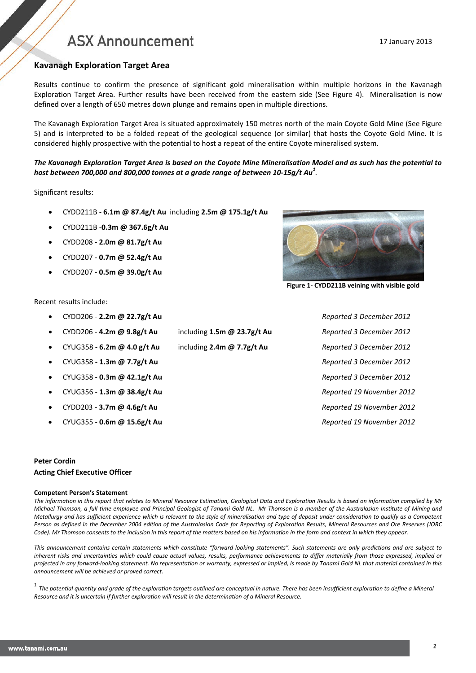### **Kavanagh Exploration Target Area**

Results continue to confirm the presence of significant gold mineralisation within multiple horizons in the Kavanagh Exploration Target Area. Further results have been received from the eastern side (See Figure 4). Mineralisation is now defined over a length of 650 metres down plunge and remains open in multiple directions.

The Kavanagh Exploration Target Area is situated approximately 150 metres north of the main Coyote Gold Mine (See Figure 5) and is interpreted to be a folded repeat of the geological sequence (or similar) that hosts the Coyote Gold Mine. It is considered highly prospective with the potential to host a repeat of the entire Coyote mineralised system.

### *The Kavanagh Exploration Target Area is based on the Coyote Mine Mineralisation Model and as such has the potential to host between 700,000 and 800,000 tonnes at a grade range of between 10-15g/t Au<sup>1</sup> .*

Significant results:

- CYDD211B **6.1m @ 87.4g/t Au** including **2.5m @ 175.1g/t Au**
- CYDD211B -**0.3m @ 367.6g/t Au**
- CYDD208 **2.0m @ 81.7g/t Au**
- CYDD207 **0.7m @ 52.4g/t Au**
- CYDD207 **0.5m @ 39.0g/t Au**

### Recent results include:

- CYDD206 **2.2m @ 22.7g/t Au** *Reported 3 December 2012*
	-
- 
- 
- CYUG358 **0.3m @ 42.1g/t Au** *Reported 3 December 2012*
- CYUG356 **1.3m @ 38.4g/t Au** *Reported 19 November 2012*
- CYDD203 **3.7m @ 4.6g/t Au** *Reported 19 November 2012*
- CYUG355 **0.6m @ 15.6g/t Au** *Reported 19 November 2012*

#### **Peter Cordin**

#### **Acting Chief Executive Officer**

#### **Competent Person's Statement**

*The information in this report that relates to Mineral Resource Estimation, Geological Data and Exploration Results is based on information compiled by Mr Michael Thomson, a full time employee and Principal Geologist of Tanami Gold NL. Mr Thomson is a member of the Australasian Institute of Mining and Metallurgy and has sufficient experience which is relevant to the style of mineralisation and type of deposit under consideration to qualify as a Competent Person as defined in the December 2004 edition of the Australasian Code for Reporting of Exploration Results, Mineral Resources and Ore Reserves (JORC Code). Mr Thomson consents to the inclusion in this report of the matters based on his information in the form and context in which they appear.*

*This announcement contains certain statements which constitute "forward looking statements". Such statements are only predictions and are subject to inherent risks and uncertainties which could cause actual values, results, performance achievements to differ materially from those expressed, implied or projected in any forward-looking statement. No representation or warranty, expressed or implied, is made by Tanami Gold NL that material contained in this announcement will be achieved or proved correct.*

<sup>1</sup> The potential quantity and grade of the exploration targets outlined are conceptual in nature. There has been insufficient exploration to define a Mineral *Resource and it is uncertain if further exploration will result in the determination of a Mineral Resource.*





**Figure 1- CYDD211B veining with visible gold**

• CYDD206 - **4.2m @ 9.8g/t Au** including **1.5m @ 23.7g/t Au** *Reported 3 December 2012* • CYUG358 - **6.2m @ 4.0 g/t Au** including **2.4m @ 7.7g/t Au** *Reported 3 December 2012* • CYUG358 **- 1.3m @ 7.7g/t Au** *Reported 3 December 2012*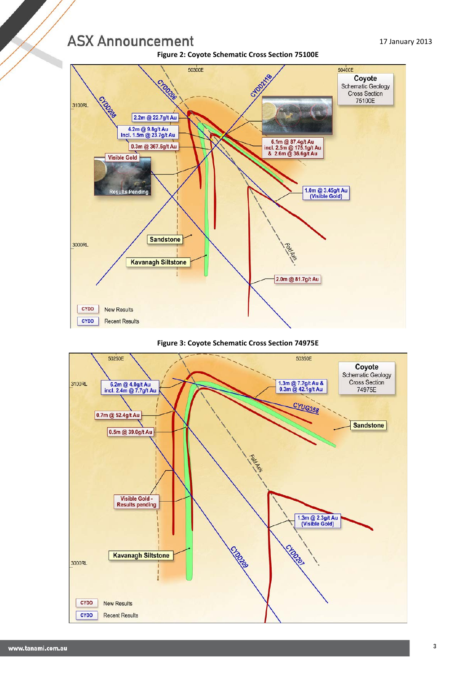**Figure 2: Coyote Schematic Cross Section 75100E**



#### **Figure 3: Coyote Schematic Cross Section 74975E**

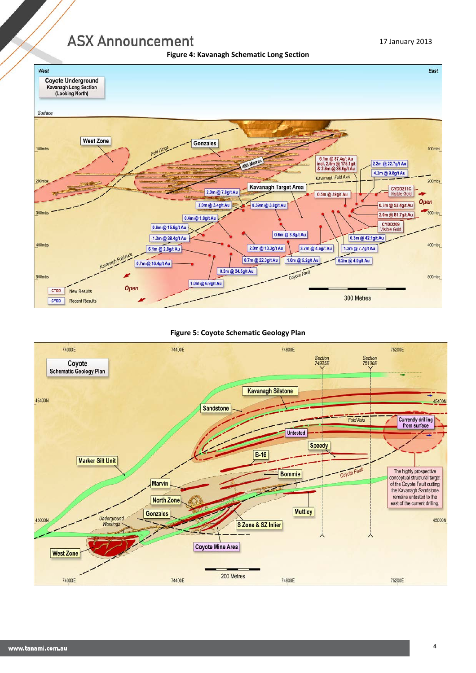



### **Figure 5: Coyote Schematic Geology Plan**